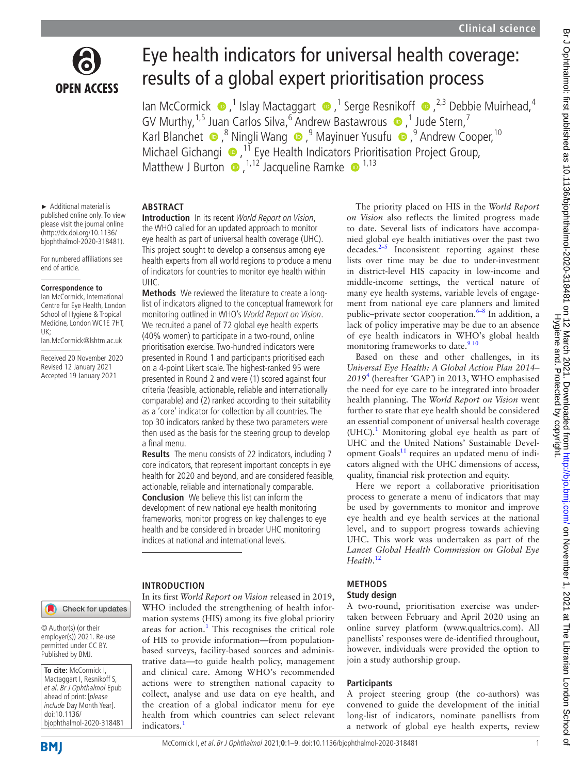

# Eye health indicators for universal health coverage: results of a global expert prioritisation process

IanMcCormick (■,<sup>1</sup> Islay Mactaggart ●,<sup>1</sup> Serge Resnikoff ●,<sup>2,3</sup> Debbie Muirhead,<sup>4</sup> GVMurthy,  $1.5$  Juan Carlos Silva,  $6$  Andrew Bastawrous  $\bullet$  , 1 Jude Stern, 7 KarlBlanchet  $\bullet$ ,<sup>8</sup> Ningli Wang  $\bullet$ ,<sup>9</sup> Mayinuer Yusufu  $\bullet$ ,<sup>9</sup> Andrew Cooper,<sup>10</sup> Michael Gichangi **D**<sup>11</sup> Eye Health Indicators Prioritisation Project Group, MatthewJ Burton  $\bullet$ ,  $^{1,12}$  Jacqueline Ramke  $\bullet$   $^{1,13}$ 

► Additional material is published online only. To view please visit the journal online [\(http://dx.doi.org/10.1136/](http://dx.doi.org/10.1136/bjophthalmol-2020-318481) [bjophthalmol-2020-318481\)](http://dx.doi.org/10.1136/bjophthalmol-2020-318481).

For numbered affiliations see end of article.

#### **Correspondence to**

Ian McCormick, International Centre for Eye Health, London School of Hygiene & Tropical Medicine, London WC1E 7HT, UK;

Ian.McCormick@lshtm.ac.uk

Received 20 November 2020 Revised 12 January 2021 Accepted 19 January 2021

#### **ABSTRACT**

**Introduction** In its recent World Report on Vision, the WHO called for an updated approach to monitor eye health as part of universal health coverage (UHC). This project sought to develop a consensus among eye health experts from all world regions to produce a menu of indicators for countries to monitor eye health within UHC.

**Methods** We reviewed the literature to create a longlist of indicators aligned to the conceptual framework for monitoring outlined in WHO's World Report on Vision. We recruited a panel of 72 global eye health experts (40% women) to participate in a two-round, online prioritisation exercise. Two-hundred indicators were presented in Round 1 and participants prioritised each on a 4-point Likert scale. The highest-ranked 95 were presented in Round 2 and were (1) scored against four criteria (feasible, actionable, reliable and internationally comparable) and (2) ranked according to their suitability as a 'core' indicator for collection by all countries. The top 30 indicators ranked by these two parameters were then used as the basis for the steering group to develop a final menu.

**Results** The menu consists of 22 indicators, including 7 core indicators, that represent important concepts in eye health for 2020 and beyond, and are considered feasible, actionable, reliable and internationally comparable. **Conclusion** We believe this list can inform the development of new national eye health monitoring frameworks, monitor progress on key challenges to eye health and be considered in broader UHC monitoring indices at national and international levels.

#### **INTRODUCTION**

In its first *World Report on Vision* released in 2019, WHO included the strengthening of health information systems (HIS) among its five global priority areas for action.<sup>[1](#page-7-0)</sup> This recognises the critical role of HIS to provide information—from populationbased surveys, facility-based sources and administrative data—to guide health policy, management and clinical care. Among WHO's recommended actions were to strengthen national capacity to collect, analyse and use data on eye health, and the creation of a global indicator menu for eye health from which countries can select relevant indicators.<sup>[1](#page-7-0)</sup>

The priority placed on HIS in the *World Report on Vision* also reflects the limited progress made to date. Several lists of indicators have accompanied global eye health initiatives over the past two decades[.2–5](#page-7-1) Inconsistent reporting against these lists over time may be due to under-investment in district-level HIS capacity in low-income and middle-income settings, the vertical nature of many eye health systems, variable levels of engagement from national eye care planners and limited public–private sector cooperation.<sup>6–8</sup> In addition, a lack of policy imperative may be due to an absence of eye health indicators in WHO's global health monitoring frameworks to date.<sup>[9 10](#page-8-1)</sup>

Based on these and other challenges, in its *Universal Eye Health: A Global Action Plan 2014– 2019*[4](#page-7-2) (hereafter *'*GAP*'*) in 2013, WHO emphasised the need for eye care to be integrated into broader health planning. The *World Report on Vision* went further to state that eye health should be considered an essential component of universal health coverage (UHC).<sup>[1](#page-7-0)</sup> Monitoring global eye health as part of UHC and the United Nations' Sustainable Development Goals<sup>11</sup> requires an updated menu of indicators aligned with the UHC dimensions of access, quality, financial risk protection and equity.

Here we report a collaborative prioritisation process to generate a menu of indicators that may be used by governments to monitor and improve eye health and eye health services at the national level, and to support progress towards achieving UHC. This work was undertaken as part of the *Lancet Global Health Commission on Global Eye Health*. [12](#page-8-3)

#### **METHODS**

#### **Study design**

A two-round, prioritisation exercise was undertaken between February and April 2020 using an online survey platform (<www.qualtrics.com>). All panellists' responses were de-identified throughout, however, individuals were provided the option to join a study authorship group.

#### **Participants**

A project steering group (the co-authors) was convened to guide the development of the initial long-list of indicators, nominate panellists from a network of global eye health experts, review

Check for updates

© Author(s) (or their employer(s)) 2021. Re-use permitted under CC BY. Published by BMJ.

**To cite:** McCormick I, Mactaggart I, Resnikoff S, et al. Br J Ophthalmol Epub ahead of print: [please include Day Month Year]. doi:10.1136/ bjophthalmol-2020-318481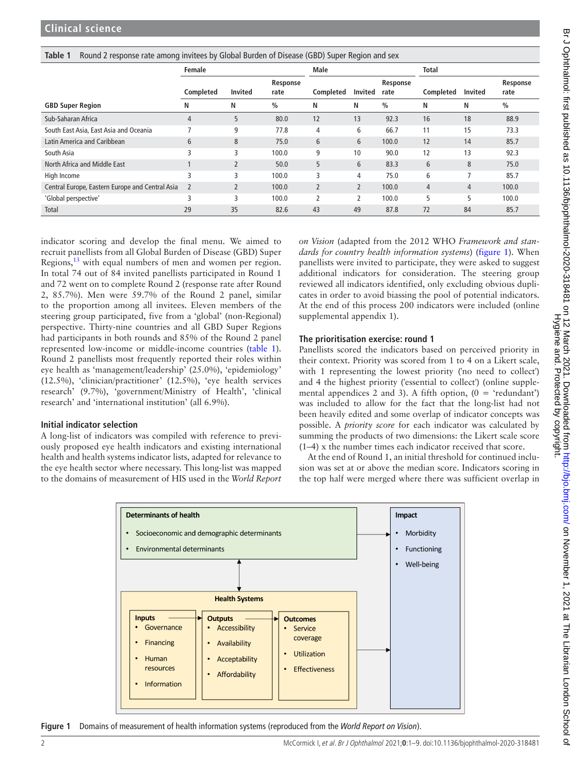<span id="page-1-0"></span>

| Table 1 Round 2 response rate among invitees by Global Burden of Disease (GBD) Super Region and sex |  |
|-----------------------------------------------------------------------------------------------------|--|
|                                                                                                     |  |

|                                                 | Female         |                | <b>Male</b>      |                          |                | <b>Total</b>     |                  |         |                  |
|-------------------------------------------------|----------------|----------------|------------------|--------------------------|----------------|------------------|------------------|---------|------------------|
|                                                 | Completed      | <b>Invited</b> | Response<br>rate | Completed                | Invited        | Response<br>rate | <b>Completed</b> | Invited | Response<br>rate |
| <b>GBD Super Region</b>                         | N              | Ν              | $\frac{0}{0}$    | N                        | N              | $\%$             | N                | N       | $\%$             |
| Sub-Saharan Africa                              | 4              | 5              | 80.0             | 12                       | 13             | 92.3             | 16               | 18      | 88.9             |
| South East Asia, East Asia and Oceania          |                | 9              | 77.8             | 4                        | 6              | 66.7             | 11               | 15      | 73.3             |
| Latin America and Caribbean                     | 6              | 8              | 75.0             | 6                        | 6              | 100.0            | 12               | 14      | 85.7             |
| South Asia                                      | 3              | 3              | 100.0            | 9                        | 10             | 90.0             | 12               | 13      | 92.3             |
| North Africa and Middle East                    |                | $\overline{2}$ | 50.0             | 5                        | 6              | 83.3             | 6                | 8       | 75.0             |
| High Income                                     | 3              | 3              | 100.0            | 3                        | 4              | 75.0             | 6                | 7       | 85.7             |
| Central Europe, Eastern Europe and Central Asia | $\overline{2}$ | $\overline{2}$ | 100.0            | $\overline{2}$           | $\overline{2}$ | 100.0            | 4                | 4       | 100.0            |
| 'Global perspective'                            | 3              | 3              | 100.0            | $\overline{\phantom{a}}$ | $\mathfrak z$  | 100.0            | 5                | 5       | 100.0            |
| <b>Total</b>                                    | 29             | 35             | 82.6             | 43                       | 49             | 87.8             | 72               | 84      | 85.7             |

indicator scoring and develop the final menu. We aimed to recruit panellists from all Global Burden of Disease (GBD) Super Regions,<sup>13</sup> with equal numbers of men and women per region. In total 74 out of 84 invited panellists participated in Round 1 and 72 went on to complete Round 2 (response rate after Round 2, 85.7%). Men were 59.7% of the Round 2 panel, similar to the proportion among all invitees. Eleven members of the steering group participated, five from a 'global' (non-Regional) perspective. Thirty-nine countries and all GBD Super Regions had participants in both rounds and 85% of the Round 2 panel represented low-income or middle-income countries ([table](#page-1-0) 1). Round 2 panellists most frequently reported their roles within eye health as 'management/leadership' (25.0%), 'epidemiology' (12.5%), 'clinician/practitioner' (12.5%), 'eye health services research' (9.7%), 'government/Ministry of Health', 'clinical research' and 'international institution' (all 6.9%).

#### **Initial indicator selection**

A long-list of indicators was compiled with reference to previously proposed eye health indicators and existing international health and health systems indicator lists, adapted for relevance to the eye health sector where necessary. This long-list was mapped to the domains of measurement of HIS used in the *World Report*  *on Vision* (adapted from the 2012 WHO *Framework and standards for country health information systems*) ([figure](#page-1-1) 1). When panellists were invited to participate, they were asked to suggest additional indicators for consideration. The steering group reviewed all indicators identified, only excluding obvious duplicates in order to avoid biassing the pool of potential indicators. At the end of this process 200 indicators were included [\(online](https://dx.doi.org/10.1136/bjophthalmol-2020-318481) [supplemental appendix 1\)](https://dx.doi.org/10.1136/bjophthalmol-2020-318481).

#### **The prioritisation exercise: round 1**

Panellists scored the indicators based on perceived priority in their context. Priority was scored from 1 to 4 on a Likert scale, with 1 representing the lowest priority ('no need to collect') and 4 the highest priority ('essential to collect') ([online supple](https://dx.doi.org/10.1136/bjophthalmol-2020-318481)[mental appendices 2 and 3](https://dx.doi.org/10.1136/bjophthalmol-2020-318481)). A fifth option,  $(0 = 'redundant')$ was included to allow for the fact that the long-list had not been heavily edited and some overlap of indicator concepts was possible. A *priority score* for each indicator was calculated by summing the products of two dimensions: the Likert scale score (1–4) x the number times each indicator received that score.

At the end of Round 1, an initial threshold for continued inclusion was set at or above the median score. Indicators scoring in the top half were merged where there was sufficient overlap in



<span id="page-1-1"></span>**Figure 1** Domains of measurement of health information systems (reproduced from the *World Report on Vision*).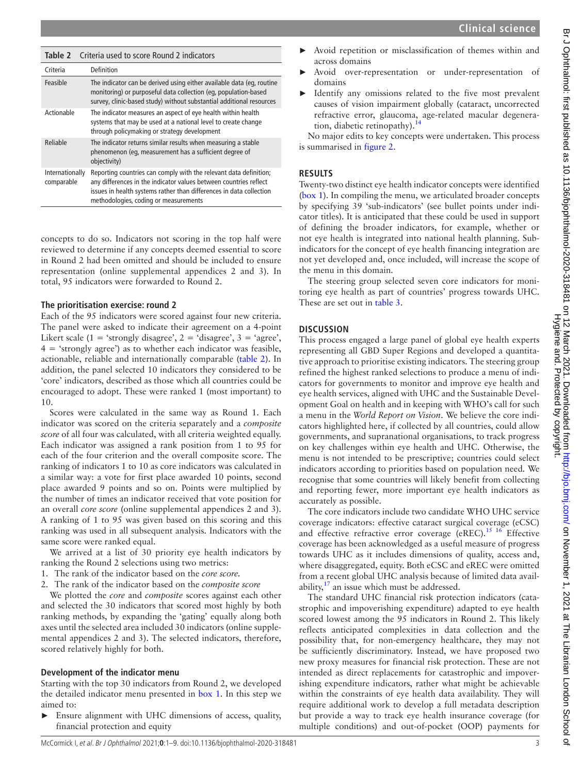<span id="page-2-0"></span>

| Table 2                       | Criteria used to score Round 2 indicators                                                                                                                                                                                                              |  |
|-------------------------------|--------------------------------------------------------------------------------------------------------------------------------------------------------------------------------------------------------------------------------------------------------|--|
| Criteria                      | Definition                                                                                                                                                                                                                                             |  |
| Feasible                      | The indicator can be derived using either available data (eg, routine<br>monitoring) or purposeful data collection (eg, population-based<br>survey, clinic-based study) without substantial additional resources                                       |  |
| Actionable                    | The indicator measures an aspect of eye health within health<br>systems that may be used at a national level to create change<br>through policymaking or strategy development                                                                          |  |
| Reliable                      | The indicator returns similar results when measuring a stable<br>phenomenon (eq. measurement has a sufficient degree of<br>objectivity)                                                                                                                |  |
| Internationally<br>comparable | Reporting countries can comply with the relevant data definition;<br>any differences in the indicator values between countries reflect<br>issues in health systems rather than differences in data collection<br>methodologies, coding or measurements |  |

concepts to do so. Indicators not scoring in the top half were reviewed to determine if any concepts deemed essential to score in Round 2 had been omitted and should be included to ensure representation [\(online supplemental appendices 2 and 3](https://dx.doi.org/10.1136/bjophthalmol-2020-318481)). In total, 95 indicators were forwarded to Round 2.

#### **The prioritisation exercise: round 2**

Each of the 95 indicators were scored against four new criteria. The panel were asked to indicate their agreement on a 4-point Likert scale (1 = 'strongly disagree', 2 = 'disagree', 3 = 'agree',  $4 = 'strongly agree')$  as to whether each indicator was feasible, actionable, reliable and internationally comparable [\(table](#page-2-0) 2). In addition, the panel selected 10 indicators they considered to be 'core' indicators, described as those which all countries could be encouraged to adopt. These were ranked 1 (most important) to 10.

Scores were calculated in the same way as Round 1. Each indicator was scored on the criteria separately and a *composite score* of all four was calculated, with all criteria weighted equally. Each indicator was assigned a rank position from 1 to 95 for each of the four criterion and the overall composite score. The ranking of indicators 1 to 10 as core indicators was calculated in a similar way: a vote for first place awarded 10 points, second place awarded 9 points and so on. Points were multiplied by the number of times an indicator received that vote position for an overall *core score* ([online supplemental appendices 2 and 3](https://dx.doi.org/10.1136/bjophthalmol-2020-318481)). A ranking of 1 to 95 was given based on this scoring and this ranking was used in all subsequent analysis. Indicators with the same score were ranked equal.

We arrived at a list of 30 priority eye health indicators by ranking the Round 2 selections using two metrics:

- 1. The rank of the indicator based on the *core score.*
- 2. The rank of the indicator based on the *composite score*

We plotted the *core* and *composite* scores against each other and selected the 30 indicators that scored most highly by both ranking methods, by expanding the 'gating' equally along both axes until the selected area included 30 indicators ([online supple](https://dx.doi.org/10.1136/bjophthalmol-2020-318481)[mental appendices 2 and 3](https://dx.doi.org/10.1136/bjophthalmol-2020-318481)). The selected indicators, therefore, scored relatively highly for both.

#### **Development of the indicator menu**

Starting with the top 30 indicators from Round 2, we developed the detailed indicator menu presented in [box](#page-3-0) 1. In this step we aimed to:

► Ensure alignment with UHC dimensions of access, quality, financial protection and equity

- Avoid repetition or misclassification of themes within and across domains
- Avoid over-representation or under-representation of domains
- Identify any omissions related to the five most prevalent causes of vision impairment globally (cataract, uncorrected refractive error, glaucoma, age-related macular degeneration, diabetic retinopathy).<sup>14</sup>

No major edits to key concepts were undertaken. This process is summarised in [figure](#page-5-0) 2.

#### **RESULTS**

Twenty-two distinct eye health indicator concepts were identified ([box](#page-3-0) 1). In compiling the menu, we articulated broader concepts by specifying 39 'sub-indicators' (see bullet points under indicator titles). It is anticipated that these could be used in support of defining the broader indicators, for example, whether or not eye health is integrated into national health planning. Subindicators for the concept of eye health financing integration are not yet developed and, once included, will increase the scope of the menu in this domain.

The steering group selected seven core indicators for monitoring eye health as part of countries' progress towards UHC. These are set out in [table](#page-6-0) 3.

#### **DISCUSSION**

This process engaged a large panel of global eye health experts representing all GBD Super Regions and developed a quantitative approach to prioritise existing indicators. The steering group refined the highest ranked selections to produce a menu of indicators for governments to monitor and improve eye health and eye health services, aligned with UHC and the Sustainable Development Goal on health and in keeping with WHO's call for such a menu in the *World Report on Vision*. We believe the core indicators highlighted here, if collected by all countries, could allow governments, and supranational organisations, to track progress on key challenges within eye health and UHC. Otherwise, the menu is not intended to be prescriptive; countries could select indicators according to priorities based on population need. We recognise that some countries will likely benefit from collecting and reporting fewer, more important eye health indicators as accurately as possible.

The core indicators include two candidate WHO UHC service coverage indicators: effective cataract surgical coverage (eCSC) and effective refractive error coverage (eREC).<sup>15 16</sup> Effective coverage has been acknowledged as a useful measure of progress towards UHC as it includes dimensions of quality, access and, where disaggregated, equity. Both eCSC and eREC were omitted from a recent global UHC analysis because of limited data availability, $17$  an issue which must be addressed.

The standard UHC financial risk protection indicators (catastrophic and impoverishing expenditure) adapted to eye health scored lowest among the 95 indicators in Round 2. This likely reflects anticipated complexities in data collection and the possibility that, for non-emergency healthcare, they may not be sufficiently discriminatory. Instead, we have proposed two new proxy measures for financial risk protection. These are not intended as direct replacements for catastrophic and impoverishing expenditure indicators, rather what might be achievable within the constraints of eye health data availability. They will require additional work to develop a full metadata description but provide a way to track eye health insurance coverage (for multiple conditions) and out-of-pocket (OOP) payments for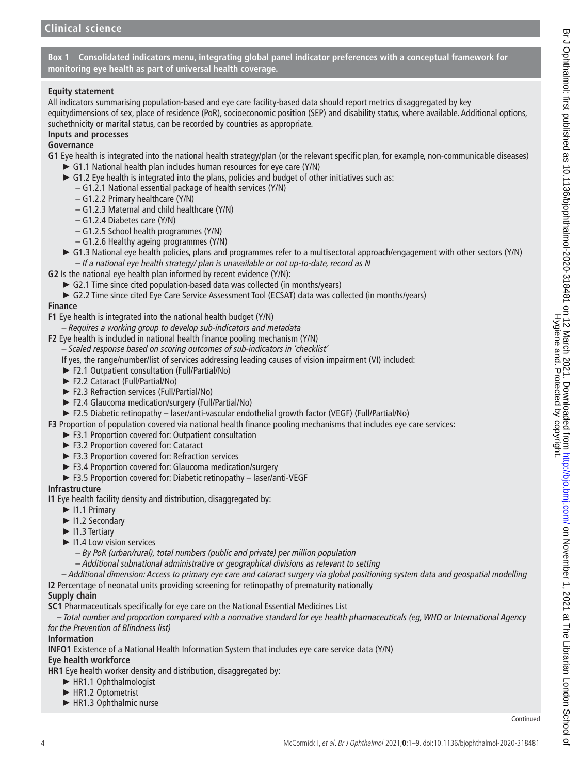**Box 1 Consolidated indicators menu, integrating global panel indicator preferences with a conceptual framework for monitoring eye health as part of universal health coverage.**

#### <span id="page-3-0"></span>**Equity statement**

All indicators summarising population-based and eye care facility-based data should report metrics disaggregated by key equitydimensions of sex, place of residence (PoR), socioeconomic position (SEP) and disability status, where available. Additional options, suchethnicity or marital status, can be recorded by countries as appropriate.

#### **Inputs and processes**

#### **Governance**

- **G1** Eye health is integrated into the national health strategy/plan (or the relevant specific plan, for example, non-communicable diseases)
	- ► G1.1 National health plan includes human resources for eye care (Y/N)
	- ► G1.2 Eye health is integrated into the plans, policies and budget of other initiatives such as:
		- G1.2.1 National essential package of health services (Y/N)
		- G1.2.2 Primary healthcare (Y/N)
		- G1.2.3 Maternal and child healthcare (Y/N)
		- G1.2.4 Diabetes care (Y/N)
		- G1.2.5 School health programmes (Y/N)
		- G1.2.6 Healthy ageing programmes (Y/N)
	- ► G1.3 National eye health policies, plans and programmes refer to a multisectoral approach/engagement with other sectors (Y/N) – *If a national eye health strategy/ plan is unavailable or not up-to-date, record as N*
- **G2** Is the national eye health plan informed by recent evidence (Y/N):
- ► G2.1 Time since cited population-based data was collected (in months/years)
	- ► G2.2 Time since cited Eye Care Service Assessment Tool (ECSAT) data was collected (in months/years)

#### **Finance**

- **F1** Eye health is integrated into the national health budget (Y/N)
	- *Requires a working group to develop sub-indicators and metadata*

**F2** Eye health is included in national health finance pooling mechanism (Y/N)

- *Scaled response based on scoring outcomes of sub-indicators in 'checklist'*
- If yes, the range/number/list of services addressing leading causes of vision impairment (VI) included:
- ► F2.1 Outpatient consultation (Full/Partial/No)
- ► F2.2 Cataract (Full/Partial/No)
- ► F2.3 Refraction services (Full/Partial/No)
- ► F2.4 Glaucoma medication/surgery (Full/Partial/No)
- ► F2.5 Diabetic retinopathy laser/anti-vascular endothelial growth factor (VEGF) (Full/Partial/No)

**F3** Proportion of population covered via national health finance pooling mechanisms that includes eye care services:

- ► F3.1 Proportion covered for: Outpatient consultation
- ► F3.2 Proportion covered for: Cataract
- ► F3.3 Proportion covered for: Refraction services
- ► F3.4 Proportion covered for: Glaucoma medication/surgery
- ► F3.5 Proportion covered for: Diabetic retinopathy laser/anti-VEGF

#### **Infrastructure**

- **I1** Eye health facility density and distribution, disaggregated by:
	- ► I1.1 Primary
	- ► I1.2 Secondary
	- ► I1.3 Tertiary
	- ► I1.4 Low vision services
		- *By PoR (urban/rural), total numbers (public and private) per million population*
		- *Additional subnational administrative or geographical divisions as relevant to setting*
- *Additional dimension: Access to primary eye care and cataract surgery via global positioning system data and geospatial modelling* **I2** Percentage of neonatal units providing screening for retinopathy of prematurity nationally

#### **Supply chain**

**SC1** Pharmaceuticals specifically for eye care on the National Essential Medicines List

*– Total number and proportion compared with a normative standard for eye health pharmaceuticals (eg, WHO or International Agency for the Prevention of Blindness list)*

#### **Information**

**INFO1** Existence of a National Health Information System that includes eye care service data (Y/N)

# **Eye health workforce**

**HR1** Eye health worker density and distribution, disaggregated by:

- ► HR1.1 Ophthalmologist
- ► HR1.2 Optometrist
- ► HR1.3 Ophthalmic nurse

Continued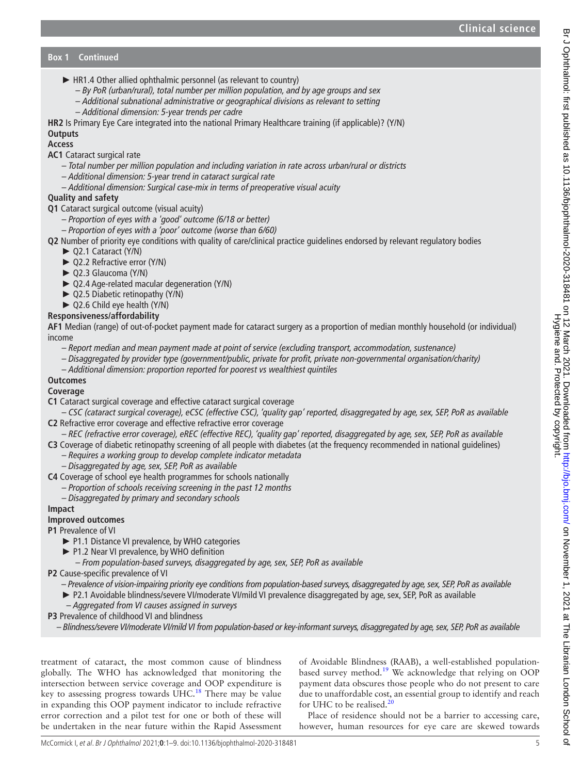- ► HR1.4 Other allied ophthalmic personnel (as relevant to country)
	- *By PoR (urban/rural), total number per million population, and by age groups and sex*
	- *Additional subnational administrative or geographical divisions as relevant to setting*
	- *Additional dimension: 5-year trends per cadre*
- **HR2** Is Primary Eye Care integrated into the national Primary Healthcare training (if applicable)? (Y/N)

# **Outputs**

**Access**

- **AC1** Cataract surgical rate
	- *Total number per million population and including variation in rate across urban/rural or districts*
	- *Additional dimension: 5-year trend in cataract surgical rate*
	- *Additional dimension: Surgical case-mix in terms of preoperative visual acuity*

# **Quality and safety**

- **Q1** Cataract surgical outcome (visual acuity)
	- *Proportion of eyes with a 'good' outcome (6/18 or better)*
	- *Proportion of eyes with a 'poor' outcome (worse than 6/60)*
- **Q2** Number of priority eye conditions with quality of care/clinical practice guidelines endorsed by relevant regulatory bodies
	- ► Q2.1 Cataract (Y/N)
		- ► Q2.2 Refractive error (Y/N)
		- ► Q2.3 Glaucoma (Y/N)
		- ► Q2.4 Age-related macular degeneration (Y/N)
		- ► Q2.5 Diabetic retinopathy (Y/N)
		- ► Q2.6 Child eye health (Y/N)

# **Responsiveness/affordability**

**AF1** Median (range) of out-of-pocket payment made for cataract surgery as a proportion of median monthly household (or individual) income

- *Report median and mean payment made at point of service (excluding transport, accommodation, sustenance)*
- *Disaggregated by provider type (government/public, private for profit, private non-governmental organisation/charity)*
- *Additional dimension: proportion reported for poorest vs wealthiest quintiles*

# **Outcomes**

# **Coverage**

- **C1** Cataract surgical coverage and effective cataract surgical coverage
- *CSC (cataract surgical coverage), eCSC (effective CSC), 'quality gap' reported, disaggregated by age, sex, SEP, PoR as available* **C2** Refractive error coverage and effective refractive error coverage
- *REC (refractive error coverage), eREC (effective REC), 'quality gap' reported, disaggregated by age, sex, SEP, PoR as available*
- **C3** Coverage of diabetic retinopathy screening of all people with diabetes (at the frequency recommended in national guidelines)
	- *Requires a working group to develop complete indicator metadata*
	- *Disaggregated by age, sex, SEP, PoR as available*
- **C4** Coverage of school eye health programmes for schools nationally
	- *Proportion of schools receiving screening in the past 12 months*
	- *Disaggregated by primary and secondary schools*

# **Impact**

# **Improved outcomes**

# **P1** Prevalence of VI

- ► P1.1 Distance VI prevalence, by WHO categories
- ► P1.2 Near VI prevalence, by WHO definition
- *From population-based surveys, disaggregated by age, sex, SEP, PoR as available*
- **P2** Cause-specific prevalence of VI
	- *Prevalence of vision-impairing priority eye conditions from population-based surveys, disaggregated by age, sex, SEP, PoR as available*
	- ► P2.1 Avoidable blindness/severe VI/moderate VI/mild VI prevalence disaggregated by age, sex, SEP, PoR as available
	- *Aggregated from VI causes assigned in surveys*
- **P3** Prevalence of childhood VI and blindness
	- *Blindness/severe VI/moderate VI/mild VI from population-based or key-informant surveys, disaggregated by age, sex, SEP, PoR as available*

treatment of cataract, the most common cause of blindness globally. The WHO has acknowledged that monitoring the intersection between service coverage and OOP expenditure is key to assessing progress towards  $UHC<sup>18</sup>$ . There may be value in expanding this OOP payment indicator to include refractive error correction and a pilot test for one or both of these will be undertaken in the near future within the Rapid Assessment

of Avoidable Blindness (RAAB), a well-established populationbased survey method.<sup>19</sup> We acknowledge that relying on OOP payment data obscures those people who do not present to care due to unaffordable cost, an essential group to identify and reach for UHC to be realised. $^{20}$ 

Place of residence should not be a barrier to accessing care, however, human resources for eye care are skewed towards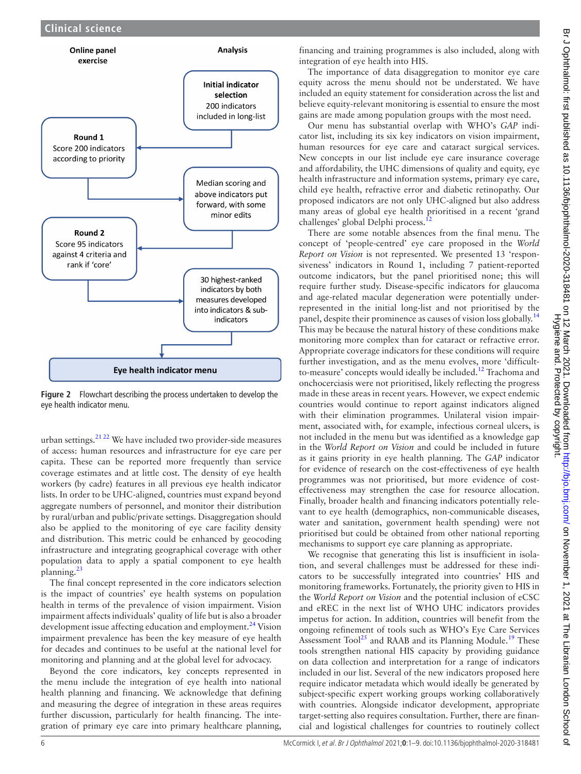

<span id="page-5-0"></span>**Figure 2** Flowchart describing the process undertaken to develop the eye health indicator menu.

urban settings. $21 22$  We have included two provider-side measures of access: human resources and infrastructure for eye care per capita. These can be reported more frequently than service coverage estimates and at little cost. The density of eye health workers (by cadre) features in all previous eye health indicator lists. In order to be UHC-aligned, countries must expand beyond aggregate numbers of personnel, and monitor their distribution by rural/urban and public/private settings. Disaggregation should also be applied to the monitoring of eye care facility density and distribution. This metric could be enhanced by geocoding infrastructure and integrating geographical coverage with other population data to apply a spatial component to eye health planning.[23](#page-8-12)

The final concept represented in the core indicators selection is the impact of countries' eye health systems on population health in terms of the prevalence of vision impairment. Vision impairment affects individuals' quality of life but is also a broader development issue affecting education and employment.<sup>[24](#page-8-13)</sup> Vision impairment prevalence has been the key measure of eye health for decades and continues to be useful at the national level for monitoring and planning and at the global level for advocacy.

Beyond the core indicators, key concepts represented in the menu include the integration of eye health into national health planning and financing. We acknowledge that defining and measuring the degree of integration in these areas requires further discussion, particularly for health financing. The integration of primary eye care into primary healthcare planning,

financing and training programmes is also included, along with integration of eye health into HIS.

The importance of data disaggregation to monitor eye care equity across the menu should not be understated. We have included an equity statement for consideration across the list and believe equity-relevant monitoring is essential to ensure the most gains are made among population groups with the most need.

Our menu has substantial overlap with WHO's *GAP* indicator list, including its six key indicators on vision impairment, human resources for eye care and cataract surgical services. New concepts in our list include eye care insurance coverage and affordability, the UHC dimensions of quality and equity, eye health infrastructure and information systems, primary eye care, child eye health, refractive error and diabetic retinopathy. Our proposed indicators are not only UHC-aligned but also address many areas of global eye health prioritised in a recent 'grand challenges' global Delphi process.<sup>12</sup>

There are some notable absences from the final menu. The concept of 'people-centred' eye care proposed in the *World Report on Vision* is not represented. We presented 13 'responsiveness' indicators in Round 1, including 7 patient-reported outcome indicators, but the panel prioritised none; this will require further study. Disease-specific indicators for glaucoma and age-related macular degeneration were potentially underrepresented in the initial long-list and not prioritised by the panel, despite their prominence as causes of vision loss globally.<sup>[14](#page-8-5)</sup> This may be because the natural history of these conditions make monitoring more complex than for cataract or refractive error. Appropriate coverage indicators for these conditions will require further investigation, and as the menu evolves, more 'difficultto-measure' concepts would ideally be included.<sup>12</sup> Trachoma and onchocerciasis were not prioritised, likely reflecting the progress made in these areas in recent years. However, we expect endemic countries would continue to report against indicators aligned with their elimination programmes. Unilateral vision impairment, associated with, for example, infectious corneal ulcers, is not included in the menu but was identified as a knowledge gap in the *World Report on Vision* and could be included in future as it gains priority in eye health planning. The *GAP* indicator for evidence of research on the cost-effectiveness of eye health programmes was not prioritised, but more evidence of costeffectiveness may strengthen the case for resource allocation. Finally, broader health and financing indicators potentially relevant to eye health (demographics, non-communicable diseases, water and sanitation, government health spending) were not prioritised but could be obtained from other national reporting mechanisms to support eye care planning as appropriate.

We recognise that generating this list is insufficient in isolation, and several challenges must be addressed for these indicators to be successfully integrated into countries' HIS and monitoring frameworks. Fortunately, the priority given to HIS in the *World Report on Vision* and the potential inclusion of eCSC and eREC in the next list of WHO UHC indicators provides impetus for action. In addition, countries will benefit from the ongoing refinement of tools such as WHO's Eye Care Services Assessment Tool<sup>25</sup> and RAAB and its Planning Module.<sup>19</sup> These tools strengthen national HIS capacity by providing guidance on data collection and interpretation for a range of indicators included in our list. Several of the new indicators proposed here require indicator metadata which would ideally be generated by subject-specific expert working groups working collaboratively with countries. Alongside indicator development, appropriate target-setting also requires consultation. Further, there are financial and logistical challenges for countries to routinely collect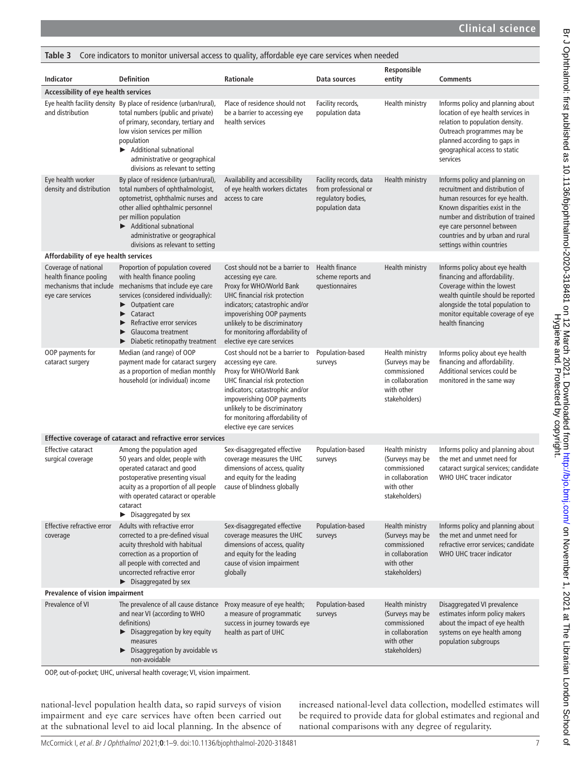<span id="page-6-0"></span>

| Core indicators to monitor universal access to quality, affordable eye care services when needed<br>Table 3 |                                                                                                                                                                                                                                                                                                       |                                                                                                                                                                                                                                                                                        |                                                                                         |                                                                                                       |                                                                                                                                                                                                                                                                             |  |
|-------------------------------------------------------------------------------------------------------------|-------------------------------------------------------------------------------------------------------------------------------------------------------------------------------------------------------------------------------------------------------------------------------------------------------|----------------------------------------------------------------------------------------------------------------------------------------------------------------------------------------------------------------------------------------------------------------------------------------|-----------------------------------------------------------------------------------------|-------------------------------------------------------------------------------------------------------|-----------------------------------------------------------------------------------------------------------------------------------------------------------------------------------------------------------------------------------------------------------------------------|--|
| Indicator                                                                                                   | <b>Definition</b>                                                                                                                                                                                                                                                                                     | <b>Rationale</b>                                                                                                                                                                                                                                                                       | Data sources                                                                            | Responsible<br>entity                                                                                 | <b>Comments</b>                                                                                                                                                                                                                                                             |  |
| Accessibility of eye health services                                                                        |                                                                                                                                                                                                                                                                                                       |                                                                                                                                                                                                                                                                                        |                                                                                         |                                                                                                       |                                                                                                                                                                                                                                                                             |  |
| and distribution                                                                                            | Eye health facility density By place of residence (urban/rural),<br>total numbers (public and private)<br>of primary, secondary, tertiary and<br>low vision services per million<br>population<br>Additional subnational<br>administrative or geographical<br>divisions as relevant to setting        | Place of residence should not<br>be a barrier to accessing eye<br>health services                                                                                                                                                                                                      | Facility records,<br>population data                                                    | Health ministry                                                                                       | Informs policy and planning about<br>location of eye health services in<br>relation to population density.<br>Outreach programmes may be<br>planned according to gaps in<br>geographical access to static<br>services                                                       |  |
| Eye health worker<br>density and distribution                                                               | By place of residence (urban/rural),<br>total numbers of ophthalmologist,<br>optometrist, ophthalmic nurses and<br>other allied ophthalmic personnel<br>per million population<br>Additional subnational<br>administrative or geographical<br>divisions as relevant to setting                        | Availability and accessibility<br>of eye health workers dictates<br>access to care                                                                                                                                                                                                     | Facility records, data<br>from professional or<br>regulatory bodies,<br>population data | Health ministry                                                                                       | Informs policy and planning on<br>recruitment and distribution of<br>human resources for eye health.<br>Known disparities exist in the<br>number and distribution of trained<br>eye care personnel between<br>countries and by urban and rural<br>settings within countries |  |
| Affordability of eye health services                                                                        |                                                                                                                                                                                                                                                                                                       |                                                                                                                                                                                                                                                                                        |                                                                                         |                                                                                                       |                                                                                                                                                                                                                                                                             |  |
| Coverage of national<br>health finance pooling<br>eye care services                                         | Proportion of population covered<br>with health finance pooling<br>mechanisms that include mechanisms that include eye care<br>services (considered individually):<br>Outpatient care<br>▶<br>Cataract<br>▶<br>Refractive error services<br>Glaucoma treatment<br>▶<br>Diabetic retinopathy treatment | Cost should not be a barrier to<br>accessing eye care.<br>Proxy for WHO/World Bank<br>UHC financial risk protection<br>indicators; catastrophic and/or<br>impoverishing OOP payments<br>unlikely to be discriminatory<br>for monitoring affordability of<br>elective eye care services | Health finance<br>scheme reports and<br>questionnaires                                  | Health ministry                                                                                       | Informs policy about eye health<br>financing and affordability.<br>Coverage within the lowest<br>wealth quintile should be reported<br>alongside the total population to<br>monitor equitable coverage of eye<br>health financing                                           |  |
| OOP payments for<br>cataract surgery                                                                        | Median (and range) of OOP<br>payment made for cataract surgery<br>as a proportion of median monthly<br>household (or individual) income                                                                                                                                                               | Cost should not be a barrier to<br>accessing eye care.<br>Proxy for WHO/World Bank<br>UHC financial risk protection<br>indicators; catastrophic and/or<br>impoverishing OOP payments<br>unlikely to be discriminatory<br>for monitoring affordability of<br>elective eye care services | Population-based<br>surveys                                                             | Health ministry<br>(Surveys may be<br>commissioned<br>in collaboration<br>with other<br>stakeholders) | Informs policy about eye health<br>financing and affordability.<br>Additional services could be<br>monitored in the same way                                                                                                                                                |  |
|                                                                                                             | Effective coverage of cataract and refractive error services                                                                                                                                                                                                                                          |                                                                                                                                                                                                                                                                                        |                                                                                         |                                                                                                       |                                                                                                                                                                                                                                                                             |  |
| <b>Effective cataract</b><br>surgical coverage                                                              | Among the population aged<br>50 years and older, people with<br>operated cataract and good<br>postoperative presenting visual<br>acuity as a proportion of all people<br>with operated cataract or operable<br>cataract<br>$\blacktriangleright$ Disaggregated by sex                                 | Sex-disaggregated effective<br>coverage measures the UHC<br>dimensions of access, quality<br>and equity for the leading<br>cause of blindness globally                                                                                                                                 | Population-based<br>surveys                                                             | Health ministry<br>(Surveys may be<br>commissioned<br>in collaboration<br>with other<br>stakeholders) | Informs policy and planning about<br>the met and unmet need for<br>cataract surgical services; candidate<br>WHO UHC tracer indicator                                                                                                                                        |  |
| Effective refractive error<br>coverage                                                                      | Adults with refractive error<br>corrected to a pre-defined visual<br>acuity threshold with habitual<br>correction as a proportion of<br>all people with corrected and<br>uncorrected refractive error<br>$\blacktriangleright$ Disaggregated by sex                                                   | Sex-disaggregated effective<br>coverage measures the UHC<br>dimensions of access, quality<br>and equity for the leading<br>cause of vision impairment<br>globally                                                                                                                      | Population-based<br>surveys                                                             | Health ministry<br>(Surveys may be<br>commissioned<br>in collaboration<br>with other<br>stakeholders) | Informs policy and planning about<br>the met and unmet need for<br>refractive error services; candidate<br>WHO UHC tracer indicator                                                                                                                                         |  |
| Prevalence of vision impairment                                                                             |                                                                                                                                                                                                                                                                                                       |                                                                                                                                                                                                                                                                                        |                                                                                         |                                                                                                       |                                                                                                                                                                                                                                                                             |  |
| Prevalence of VI                                                                                            | The prevalence of all cause distance<br>and near VI (according to WHO<br>definitions)<br>$\triangleright$ Disaggregation by key equity<br>measures<br>Disaggregation by avoidable vs<br>non-avoidable                                                                                                 | Proxy measure of eye health;<br>a measure of programmatic<br>success in journey towards eye<br>health as part of UHC                                                                                                                                                                   | Population-based<br>surveys                                                             | Health ministry<br>(Surveys may be<br>commissioned<br>in collaboration<br>with other<br>stakeholders) | Disaggregated VI prevalence<br>estimates inform policy makers<br>about the impact of eye health<br>systems on eye health among<br>population subgroups                                                                                                                      |  |

OOP, out-of-pocket; UHC, universal health coverage; VI, vision impairment.

national-level population health data, so rapid surveys of vision impairment and eye care services have often been carried out at the subnational level to aid local planning. In the absence of increased national-level data collection, modelled estimates will be required to provide data for global estimates and regional and national comparisons with any degree of regularity.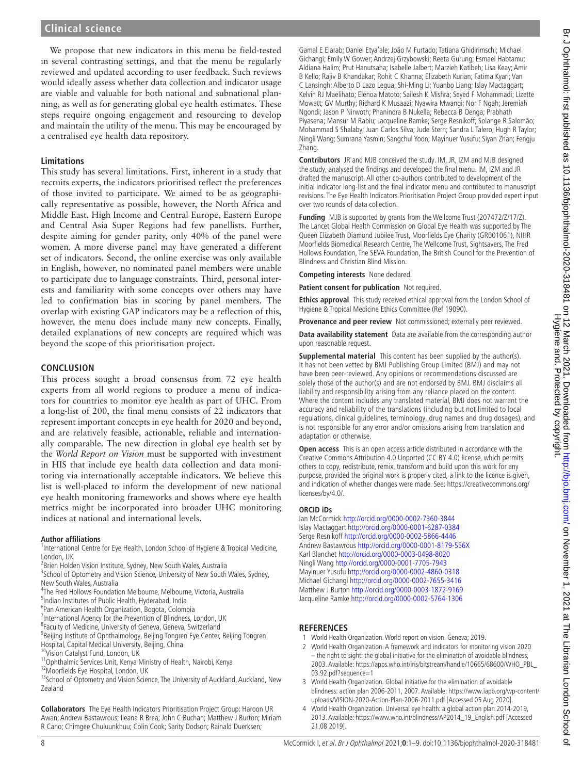We propose that new indicators in this menu be field-tested in several contrasting settings, and that the menu be regularly reviewed and updated according to user feedback. Such reviews would ideally assess whether data collection and indicator usage are viable and valuable for both national and subnational planning, as well as for generating global eye health estimates. These steps require ongoing engagement and resourcing to develop and maintain the utility of the menu. This may be encouraged by a centralised eye health data repository.

#### **Limitations**

This study has several limitations. First, inherent in a study that recruits experts, the indicators prioritised reflect the preferences of those invited to participate. We aimed to be as geographically representative as possible, however, the North Africa and Middle East, High Income and Central Europe, Eastern Europe and Central Asia Super Regions had few panellists. Further, despite aiming for gender parity, only 40% of the panel were women. A more diverse panel may have generated a different set of indicators. Second, the online exercise was only available in English, however, no nominated panel members were unable to participate due to language constraints. Third, personal interests and familiarity with some concepts over others may have led to confirmation bias in scoring by panel members. The overlap with existing GAP indicators may be a reflection of this, however, the menu does include many new concepts. Finally, detailed explanations of new concepts are required which was beyond the scope of this prioritisation project.

#### **CONCLUSION**

This process sought a broad consensus from 72 eye health experts from all world regions to produce a menu of indicators for countries to monitor eye health as part of UHC. From a long-list of 200, the final menu consists of 22 indicators that represent important concepts in eye health for 2020 and beyond, and are relatively feasible, actionable, reliable and internationally comparable. The new direction in global eye health set by the *World Report on Vision* must be supported with investment in HIS that include eye health data collection and data monitoring via internationally acceptable indicators. We believe this list is well-placed to inform the development of new national eye health monitoring frameworks and shows where eye health metrics might be incorporated into broader UHC monitoring indices at national and international levels.

#### **Author affiliations**

<sup>1</sup>International Centre for Eye Health, London School of Hygiene & Tropical Medicine, London, UK

<sup>2</sup> Brien Holden Vision Institute, Sydney, New South Wales, Australia

<sup>3</sup>School of Optometry and Vision Science, University of New South Wales, Sydney, New South Wales, Australia

- 4 The Fred Hollows Foundation Melbourne, Melbourne, Victoria, Australia
- 5 Indian Institutes of Public Health, Hyderabad, India
- 6 Pan American Health Organization, Bogota, Colombia

<sup>7</sup>International Agency for the Prevention of Blindness, London, UK

- <sup>8</sup> Faculty of Medicine, University of Geneva, Geneva, Switzerland
- <sup>9</sup>Beijing Institute of Ophthalmology, Beijing Tongren Eye Center, Beijing Tongren Hospital, Capital Medical University, Beijing, China
- 10Vision Catalyst Fund, London, UK
- <sup>11</sup>Ophthalmic Services Unit, Kenya Ministry of Health, Nairobi, Kenya
- 12Moorfields Eye Hospital, London, UK

<sup>13</sup>School of Optometry and Vision Science, The University of Auckland, Auckland, New Zealand

**Collaborators** The Eye Health Indicators Prioritisation Project Group: Haroon UR Awan; Andrew Bastawrous; Ileana R Brea; John C Buchan; Matthew J Burton; Miriam R Cano; Chimgee Chuluunkhuu; Colin Cook; Sarity Dodson; Rainald Duerksen;

Gamal E Elarab; Daniel Etya'ale; João M Furtado; Tatiana Ghidirimschi; Michael Gichangi; Emily W Gower; Andrzej Grzybowski; Reeta Gurung; Esmael Habtamu; Aldiana Halim; Prut Hanutsaha; Isabelle Jalbert; Marzieh Katibeh; Lisa Keay; Amir B Kello; Rajiv B Khandakar; Rohit C Khanna; Elizabeth Kurian; Fatima Kyari; Van C Lansingh; Alberto D Lazo Legua; Shi-Ming Li; Yuanbo Liang; Islay Mactaggart; Kelvin RJ Maelihato; Elenoa Matoto; Sailesh K Mishra; Seyed F Mohammadi; Lizette Mowatt; GV Murthy; Richard K Musaazi; Nyawira Mwangi; Nor F Ngah; Jeremiah Ngondi; Jason P Nirwoth; Phanindra B Nukella; Rebecca B Oenga; Prabhath Piyasena; Mansur M Rabiu; Jacqueline Ramke; Serge Resnikoff; Solange R Salomão; Mohammad S Shalaby; Juan Carlos Silva; Jude Stern; Sandra L Talero; Hugh R Taylor; Ningli Wang; Sumrana Yasmin; Sangchul Yoon; Mayinuer Yusufu; Siyan Zhan; Fengju Zhang.

**Contributors** JR and MJB conceived the study. IM, JR, IZM and MJB designed the study, analysed the findings and developed the final menu. IM, IZM and JR drafted the manuscript. All other co-authors contributed to development of the initial indicator long-list and the final indicator menu and contributed to manuscript revisions. The Eye Health Indicators Prioritisation Project Group provided expert input over two rounds of data collection.

**Funding** MJB is supported by grants from the Wellcome Trust (207472/Z/17/Z). The Lancet Global Health Commission on Global Eye Health was supported by The Queen Elizabeth Diamond Jubilee Trust, Moorfields Eye Charity (GR001061), NIHR Moorfields Biomedical Research Centre, The Wellcome Trust, Sightsavers, The Fred Hollows Foundation, The SEVA Foundation, The British Council for the Prevention of Blindness and Christian Blind Mission.

**Competing interests** None declared.

**Patient consent for publication** Not required.

**Ethics approval** This study received ethical approval from the London School of Hygiene & Tropical Medicine Ethics Committee (Ref 19090).

**Provenance and peer review** Not commissioned; externally peer reviewed.

**Data availability statement** Data are available from the corresponding author upon reasonable request.

**Supplemental material** This content has been supplied by the author(s). It has not been vetted by BMJ Publishing Group Limited (BMJ) and may not have been peer-reviewed. Any opinions or recommendations discussed are solely those of the author(s) and are not endorsed by BMJ. BMJ disclaims all liability and responsibility arising from any reliance placed on the content. Where the content includes any translated material, BMJ does not warrant the accuracy and reliability of the translations (including but not limited to local regulations, clinical guidelines, terminology, drug names and drug dosages), and is not responsible for any error and/or omissions arising from translation and adaptation or otherwise.

**Open access** This is an open access article distributed in accordance with the Creative Commons Attribution 4.0 Unported (CC BY 4.0) license, which permits others to copy, redistribute, remix, transform and build upon this work for any purpose, provided the original work is properly cited, a link to the licence is given, and indication of whether changes were made. See: [https://creativecommons.org/](https://creativecommons.org/licenses/by/4.0/) [licenses/by/4.0/.](https://creativecommons.org/licenses/by/4.0/)

#### **ORCID iDs**

Ian McCormick<http://orcid.org/0000-0002-7360-3844> Islay Mactaggart <http://orcid.org/0000-0001-6287-0384> Serge Resnikoff<http://orcid.org/0000-0002-5866-4446> Andrew Bastawrous <http://orcid.org/0000-0001-8179-556X> Karl Blanchet<http://orcid.org/0000-0003-0498-8020> Ningli Wang<http://orcid.org/0000-0001-7705-7943> Mayinuer Yusufu <http://orcid.org/0000-0002-4860-0318> Michael Gichangi <http://orcid.org/0000-0002-7655-3416> Matthew J Burton <http://orcid.org/0000-0003-1872-9169> Jacqueline Ramke<http://orcid.org/0000-0002-5764-1306>

#### **REFERENCES**

- <span id="page-7-0"></span>1 World Health Organization. World report on vision. Geneva; 2019.
- <span id="page-7-1"></span>2 World Health Organization. A framework and indicators for monitoring vision 2020 – the right to sight: the global initiative for the elimination of avoidable blindness, 2003. Available: [https://apps.who.int/iris/bitstream/handle/10665/68600/WHO\\_PBL\\_](https://apps.who.int/iris/bitstream/handle/10665/68600/WHO_PBL_03.92.pdf?sequence=1) [03.92.pdf?sequence=1](https://apps.who.int/iris/bitstream/handle/10665/68600/WHO_PBL_03.92.pdf?sequence=1)
- 3 World Health Organization. Global initiative for the elimination of avoidable blindness: action plan 2006-2011, 2007. Available: [https://www.iapb.org/wp-content/](https://www.iapb.org/wp-content/uploads/VISION-2020-Action-Plan-2006-2011.pdf) [uploads/VISION-2020-Action-Plan-2006-2011.pdf](https://www.iapb.org/wp-content/uploads/VISION-2020-Action-Plan-2006-2011.pdf) [Accessed 05 Aug 2020].
- <span id="page-7-2"></span>4 World Health Organization. Universal eye health: a global action plan 2014-2019, 2013. Available: [https://www.who.int/blindness/AP2014\\_19\\_English.pdf](https://www.who.int/blindness/AP2014_19_English.pdf) [Accessed 21.08 2019].